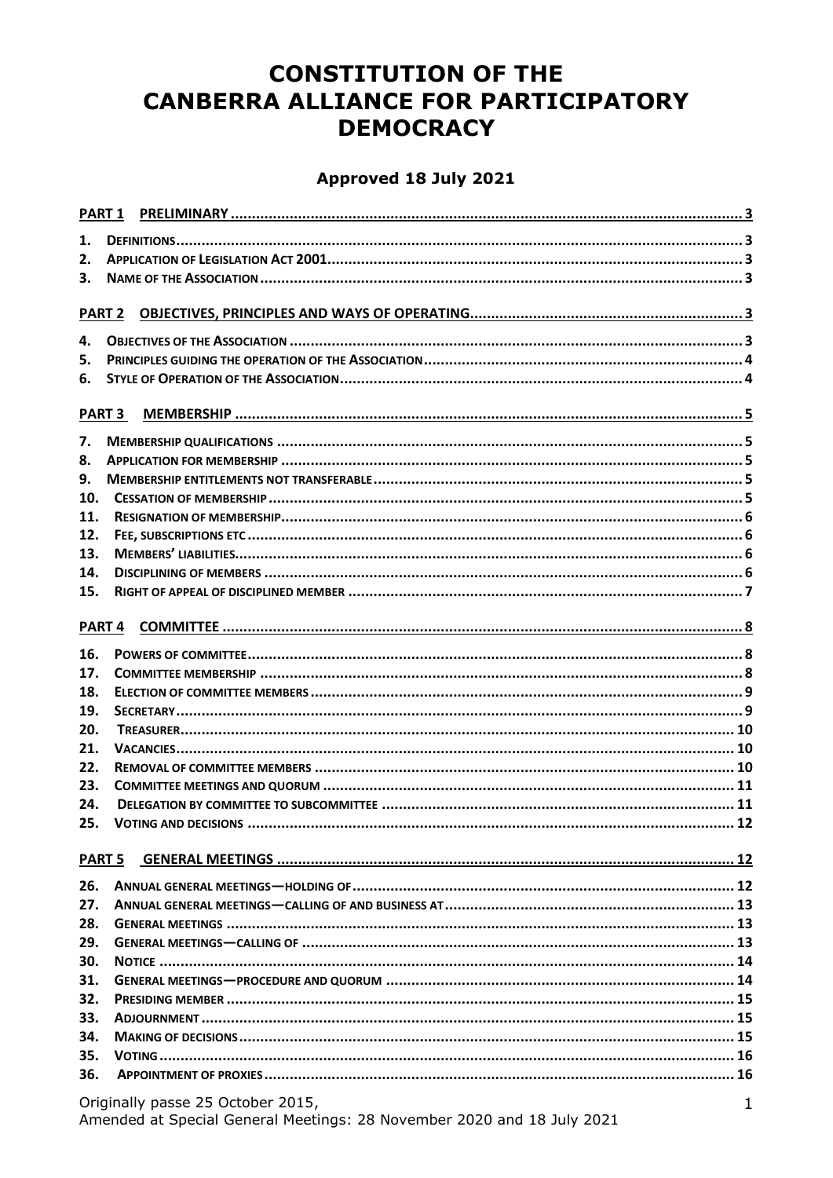# **CONSTITUTION OF THE CANBERRA ALLIANCE FOR PARTICIPATORY DEMOCRACY**

### Approved 18 July 2021

|                                                                                                                  | PART <sub>1</sub> |  |  |  |
|------------------------------------------------------------------------------------------------------------------|-------------------|--|--|--|
| 1.                                                                                                               |                   |  |  |  |
| 2.                                                                                                               |                   |  |  |  |
| 3.                                                                                                               |                   |  |  |  |
|                                                                                                                  |                   |  |  |  |
|                                                                                                                  |                   |  |  |  |
| 4.                                                                                                               |                   |  |  |  |
| 5.                                                                                                               |                   |  |  |  |
| 6.                                                                                                               |                   |  |  |  |
|                                                                                                                  |                   |  |  |  |
|                                                                                                                  | <b>PART 3</b>     |  |  |  |
| 7.                                                                                                               |                   |  |  |  |
| 8.                                                                                                               |                   |  |  |  |
| 9.                                                                                                               |                   |  |  |  |
| 10.                                                                                                              |                   |  |  |  |
| 11.                                                                                                              |                   |  |  |  |
| 12.                                                                                                              |                   |  |  |  |
| 13.                                                                                                              |                   |  |  |  |
| 14.                                                                                                              |                   |  |  |  |
| 15.                                                                                                              |                   |  |  |  |
|                                                                                                                  |                   |  |  |  |
|                                                                                                                  | PART <sub>4</sub> |  |  |  |
| 16.                                                                                                              |                   |  |  |  |
| 17.                                                                                                              |                   |  |  |  |
| 18.                                                                                                              |                   |  |  |  |
| 19.                                                                                                              |                   |  |  |  |
| 20.                                                                                                              |                   |  |  |  |
| 21.                                                                                                              |                   |  |  |  |
| 22.                                                                                                              |                   |  |  |  |
| 23.                                                                                                              |                   |  |  |  |
| 24.                                                                                                              |                   |  |  |  |
| 25.                                                                                                              |                   |  |  |  |
|                                                                                                                  |                   |  |  |  |
|                                                                                                                  | <b>PART 5</b>     |  |  |  |
| 26.                                                                                                              |                   |  |  |  |
| 27.                                                                                                              |                   |  |  |  |
| 28.                                                                                                              |                   |  |  |  |
| 29.                                                                                                              |                   |  |  |  |
| 30.                                                                                                              |                   |  |  |  |
| 31.                                                                                                              |                   |  |  |  |
| 32.                                                                                                              |                   |  |  |  |
| 33.                                                                                                              |                   |  |  |  |
| 34.                                                                                                              |                   |  |  |  |
| 35.                                                                                                              |                   |  |  |  |
| 36.                                                                                                              |                   |  |  |  |
|                                                                                                                  |                   |  |  |  |
| Originally passe 25 October 2015,<br>1<br>Amended at Special General Meetings: 28 November 2020 and 18 July 2021 |                   |  |  |  |
|                                                                                                                  |                   |  |  |  |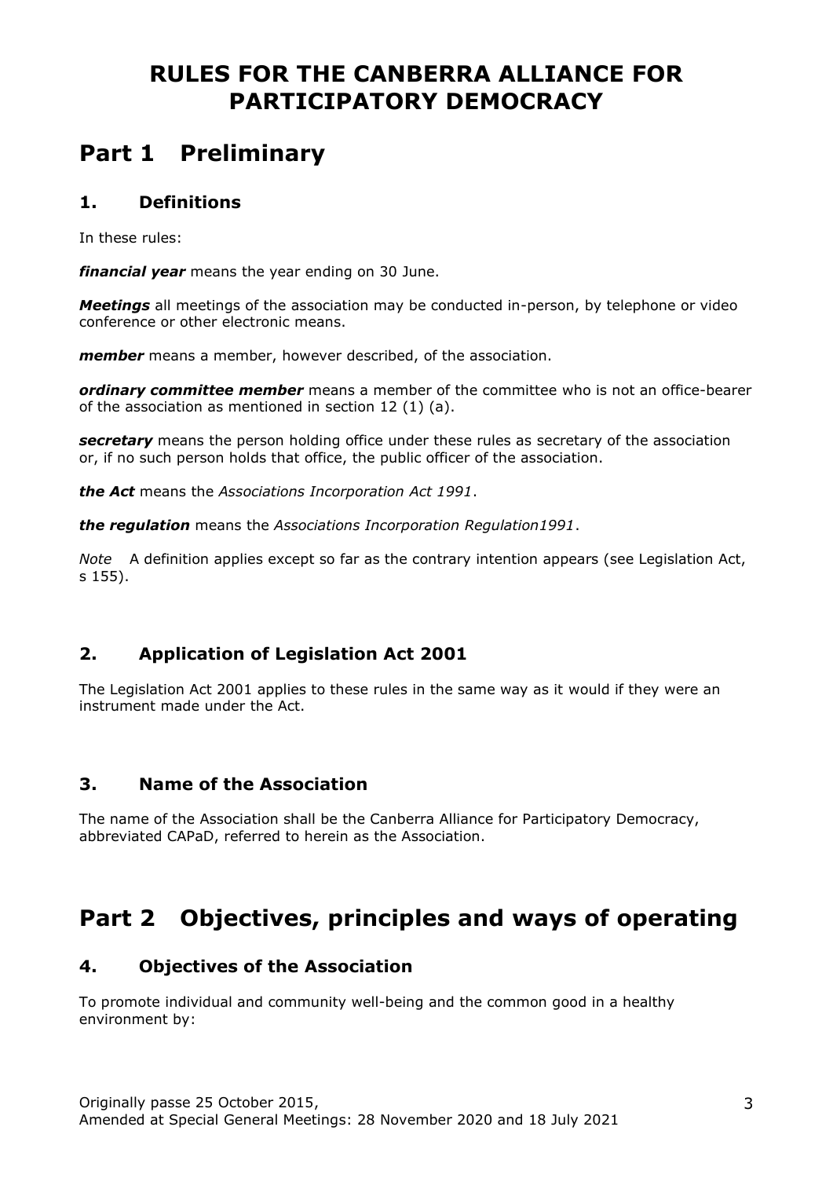# **RULES FOR THE CANBERRA ALLIANCE FOR PARTICIPATORY DEMOCRACY**

# **Part 1 Preliminary**

#### **1. Definitions**

In these rules:

*financial year* means the year ending on 30 June.

*Meetings* all meetings of the association may be conducted in-person, by telephone or video conference or other electronic means.

*member* means a member, however described, of the association.

*ordinary committee member* means a member of the committee who is not an office-bearer of the association as mentioned in section 12 (1) (a).

**secretary** means the person holding office under these rules as secretary of the association or, if no such person holds that office, the public officer of the association.

*the Act* means the *Associations Incorporation Act 1991*.

*the regulation* means the *Associations Incorporation Regulation1991*.

*Note* A definition applies except so far as the contrary intention appears (see Legislation Act, s 155).

# **2. Application of Legislation Act 2001**

The Legislation Act 2001 applies to these rules in the same way as it would if they were an instrument made under the Act.

# **3. Name of the Association**

The name of the Association shall be the Canberra Alliance for Participatory Democracy, abbreviated CAPaD, referred to herein as the Association.

# **Part 2 Objectives, principles and ways of operating**

# **4. Objectives of the Association**

To promote individual and community well-being and the common good in a healthy environment by: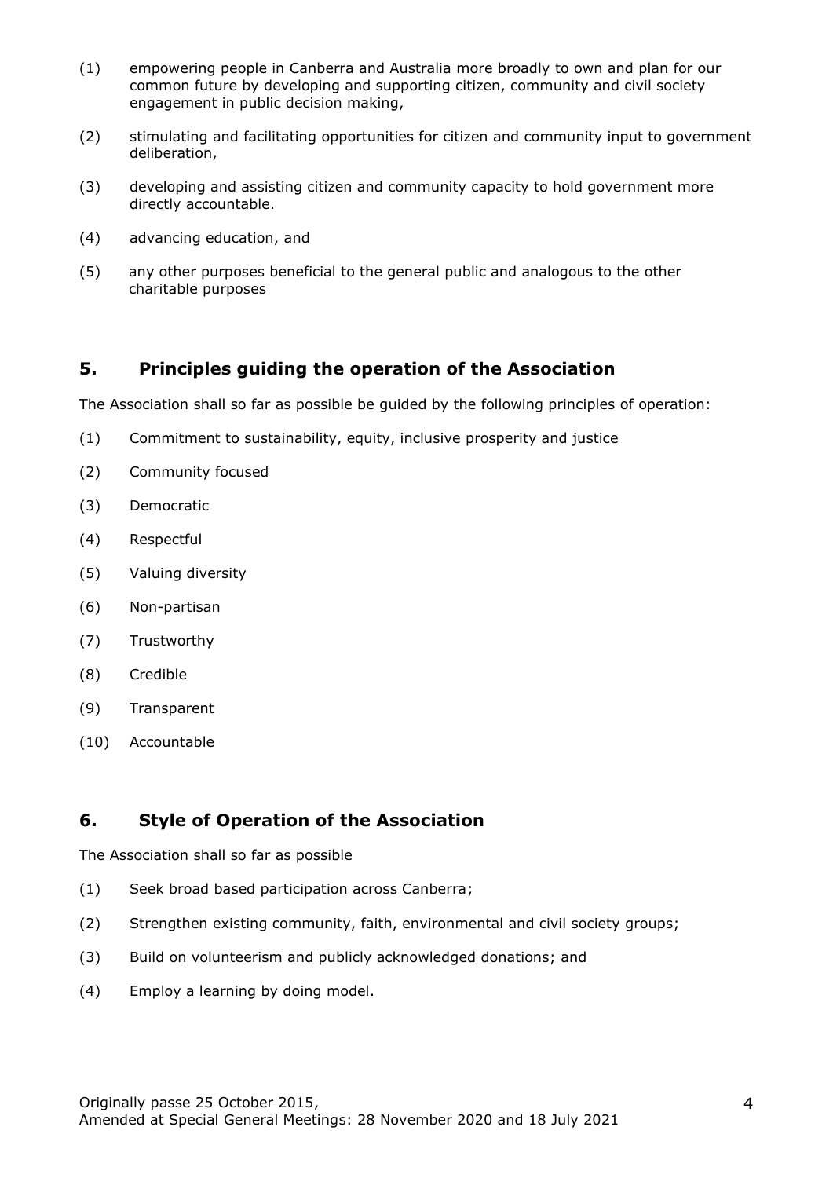- (1) empowering people in Canberra and Australia more broadly to own and plan for our common future by developing and supporting citizen, community and civil society engagement in public decision making,
- (2) stimulating and facilitating opportunities for citizen and community input to government deliberation,
- (3) developing and assisting citizen and community capacity to hold government more directly accountable.
- (4) advancing education, and
- (5) any other purposes beneficial to the general public and analogous to the other charitable purposes

# **5. Principles guiding the operation of the Association**

The Association shall so far as possible be guided by the following principles of operation:

- (1) Commitment to sustainability, equity, inclusive prosperity and justice
- (2) Community focused
- (3) Democratic
- (4) Respectful
- (5) Valuing diversity
- (6) Non-partisan
- (7) Trustworthy
- (8) Credible
- (9) Transparent
- (10) Accountable

# **6. Style of Operation of the Association**

The Association shall so far as possible

- (1) Seek broad based participation across Canberra;
- (2) Strengthen existing community, faith, environmental and civil society groups;
- (3) Build on volunteerism and publicly acknowledged donations; and
- (4) Employ a learning by doing model.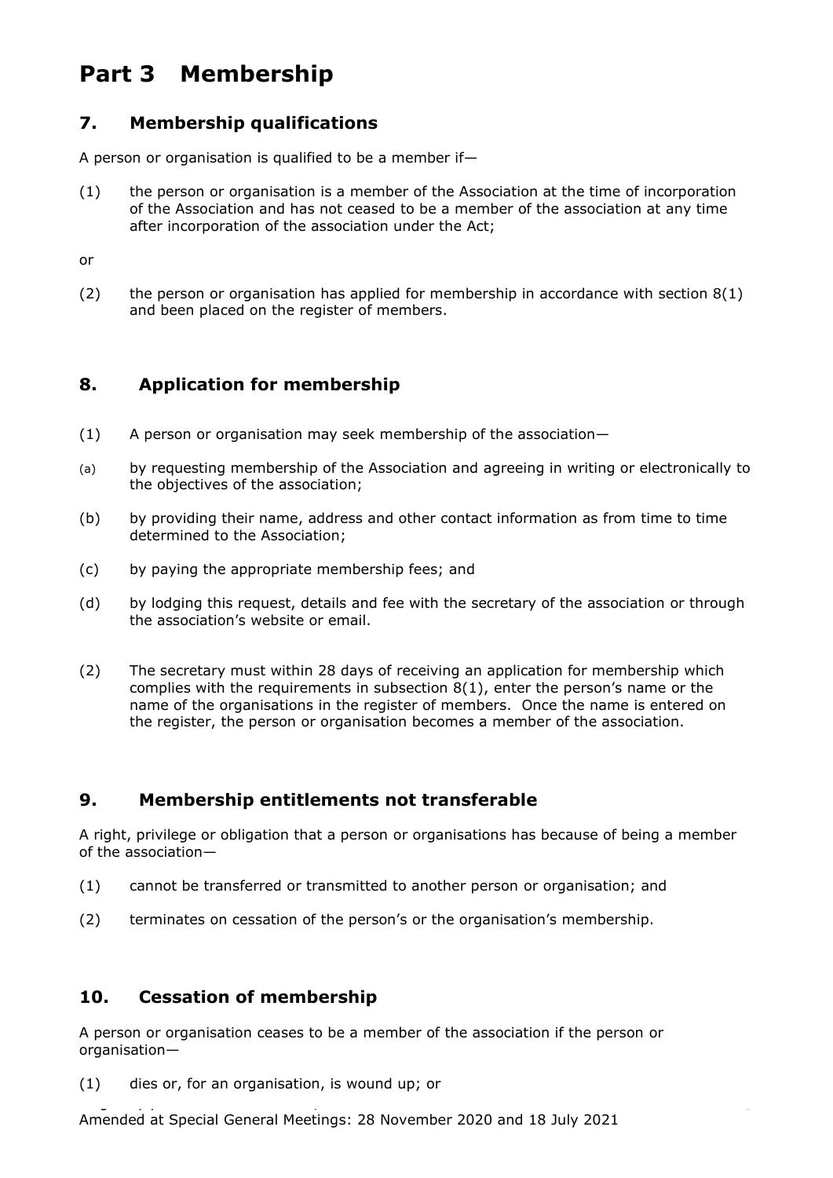# **Part 3 Membership**

# **7. Membership qualifications**

A person or organisation is qualified to be a member if—

(1) the person or organisation is a member of the Association at the time of incorporation of the Association and has not ceased to be a member of the association at any time after incorporation of the association under the Act;

or

(2) the person or organisation has applied for membership in accordance with section  $8(1)$ and been placed on the register of members.

# **8. Application for membership**

- (1) A person or organisation may seek membership of the association—
- (a) by requesting membership of the Association and agreeing in writing or electronically to the objectives of the association;
- (b) by providing their name, address and other contact information as from time to time determined to the Association;
- (c) by paying the appropriate membership fees; and
- (d) by lodging this request, details and fee with the secretary of the association or through the association's website or email.
- (2) The secretary must within 28 days of receiving an application for membership which complies with the requirements in subsection 8(1), enter the person's name or the name of the organisations in the register of members. Once the name is entered on the register, the person or organisation becomes a member of the association.

# **9. Membership entitlements not transferable**

A right, privilege or obligation that a person or organisations has because of being a member of the association—

- (1) cannot be transferred or transmitted to another person or organisation; and
- (2) terminates on cessation of the person's or the organisation's membership.

# **10. Cessation of membership**

A person or organisation ceases to be a member of the association if the person or organisation—

(1) dies or, for an organisation, is wound up; or

Originally passe 25 October 2015, Amended at Special General Meetings: 28 November 2020 and 18 July 2021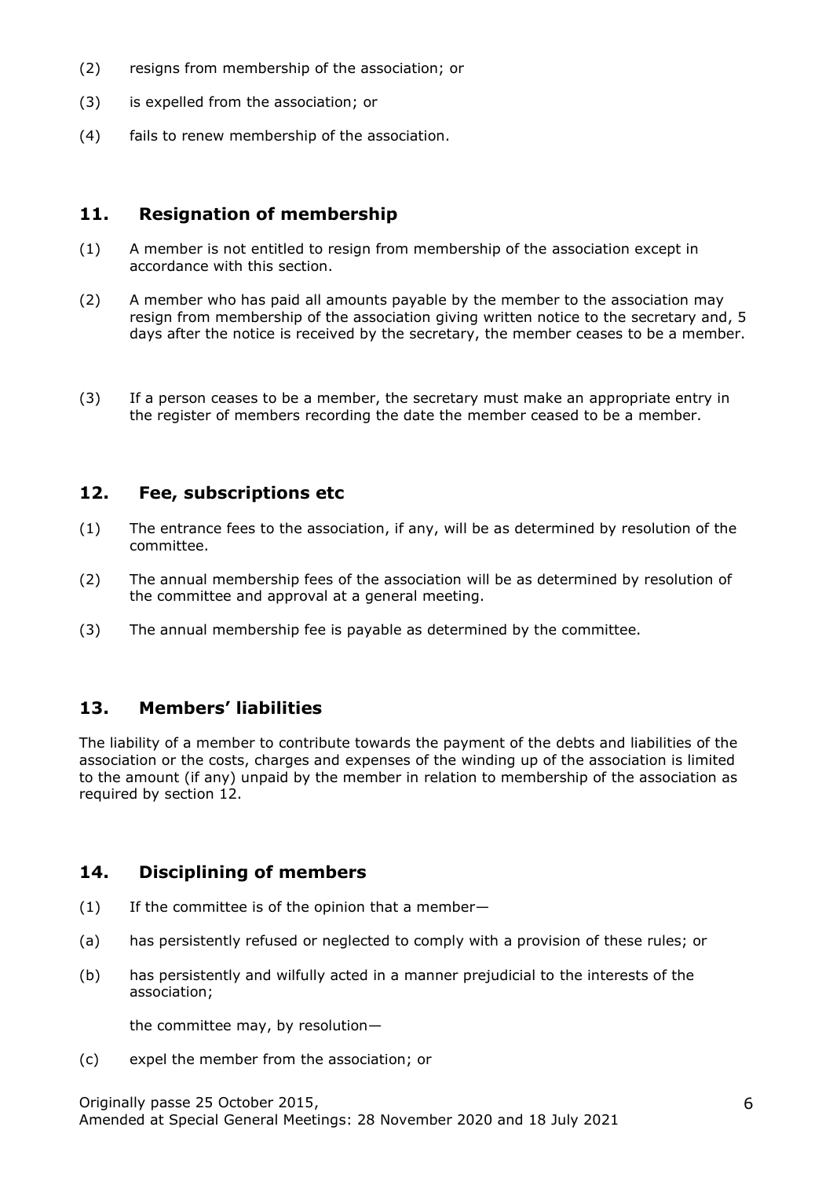- (2) resigns from membership of the association; or
- (3) is expelled from the association; or
- (4) fails to renew membership of the association.

### **11. Resignation of membership**

- (1) A member is not entitled to resign from membership of the association except in accordance with this section.
- (2) A member who has paid all amounts payable by the member to the association may resign from membership of the association giving written notice to the secretary and, 5 days after the notice is received by the secretary, the member ceases to be a member.
- (3) If a person ceases to be a member, the secretary must make an appropriate entry in the register of members recording the date the member ceased to be a member.

#### **12. Fee, subscriptions etc**

- (1) The entrance fees to the association, if any, will be as determined by resolution of the committee.
- (2) The annual membership fees of the association will be as determined by resolution of the committee and approval at a general meeting.
- (3) The annual membership fee is payable as determined by the committee.

# **13. Members' liabilities**

The liability of a member to contribute towards the payment of the debts and liabilities of the association or the costs, charges and expenses of the winding up of the association is limited to the amount (if any) unpaid by the member in relation to membership of the association as required by section 12.

# **14. Disciplining of members**

- (1) If the committee is of the opinion that a member—
- (a) has persistently refused or neglected to comply with a provision of these rules; or
- (b) has persistently and wilfully acted in a manner prejudicial to the interests of the association;

the committee may, by resolution—

(c) expel the member from the association; or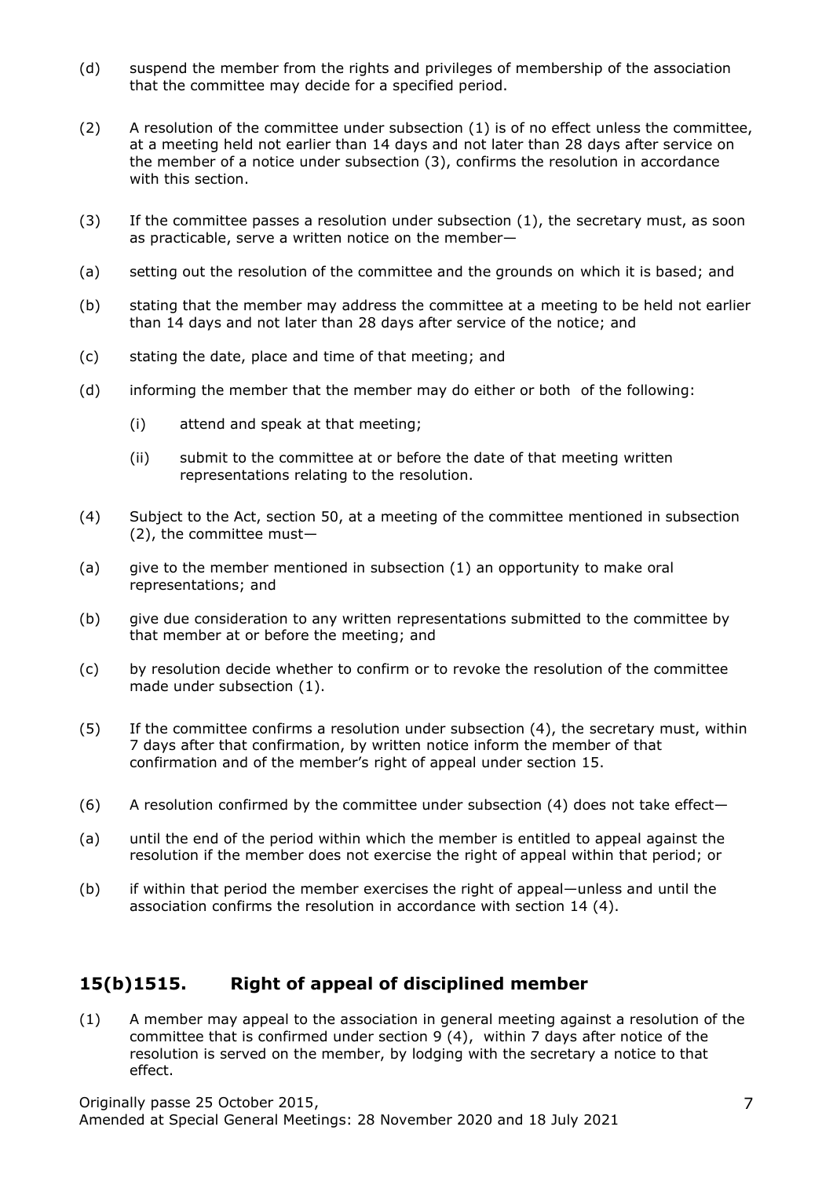- (d) suspend the member from the rights and privileges of membership of the association that the committee may decide for a specified period.
- (2) A resolution of the committee under subsection (1) is of no effect unless the committee, at a meeting held not earlier than 14 days and not later than 28 days after service on the member of a notice under subsection (3), confirms the resolution in accordance with this section.
- (3) If the committee passes a resolution under subsection (1), the secretary must, as soon as practicable, serve a written notice on the member—
- (a) setting out the resolution of the committee and the grounds on which it is based; and
- (b) stating that the member may address the committee at a meeting to be held not earlier than 14 days and not later than 28 days after service of the notice; and
- (c) stating the date, place and time of that meeting; and
- (d) informing the member that the member may do either or both of the following:
	- (i) attend and speak at that meeting;
	- (ii) submit to the committee at or before the date of that meeting written representations relating to the resolution.
- (4) Subject to the Act, section 50, at a meeting of the committee mentioned in subsection (2), the committee must—
- (a) give to the member mentioned in subsection (1) an opportunity to make oral representations; and
- (b) give due consideration to any written representations submitted to the committee by that member at or before the meeting; and
- (c) by resolution decide whether to confirm or to revoke the resolution of the committee made under subsection (1).
- (5) If the committee confirms a resolution under subsection (4), the secretary must, within 7 days after that confirmation, by written notice inform the member of that confirmation and of the member's right of appeal under section 15.
- (6) A resolution confirmed by the committee under subsection  $(4)$  does not take effect-
- (a) until the end of the period within which the member is entitled to appeal against the resolution if the member does not exercise the right of appeal within that period; or
- (b) if within that period the member exercises the right of appeal—unless and until the association confirms the resolution in accordance with section 14 (4).

# **15(b)1515. Right of appeal of disciplined member**

(1) A member may appeal to the association in general meeting against a resolution of the committee that is confirmed under section 9 (4), within 7 days after notice of the resolution is served on the member, by lodging with the secretary a notice to that effect.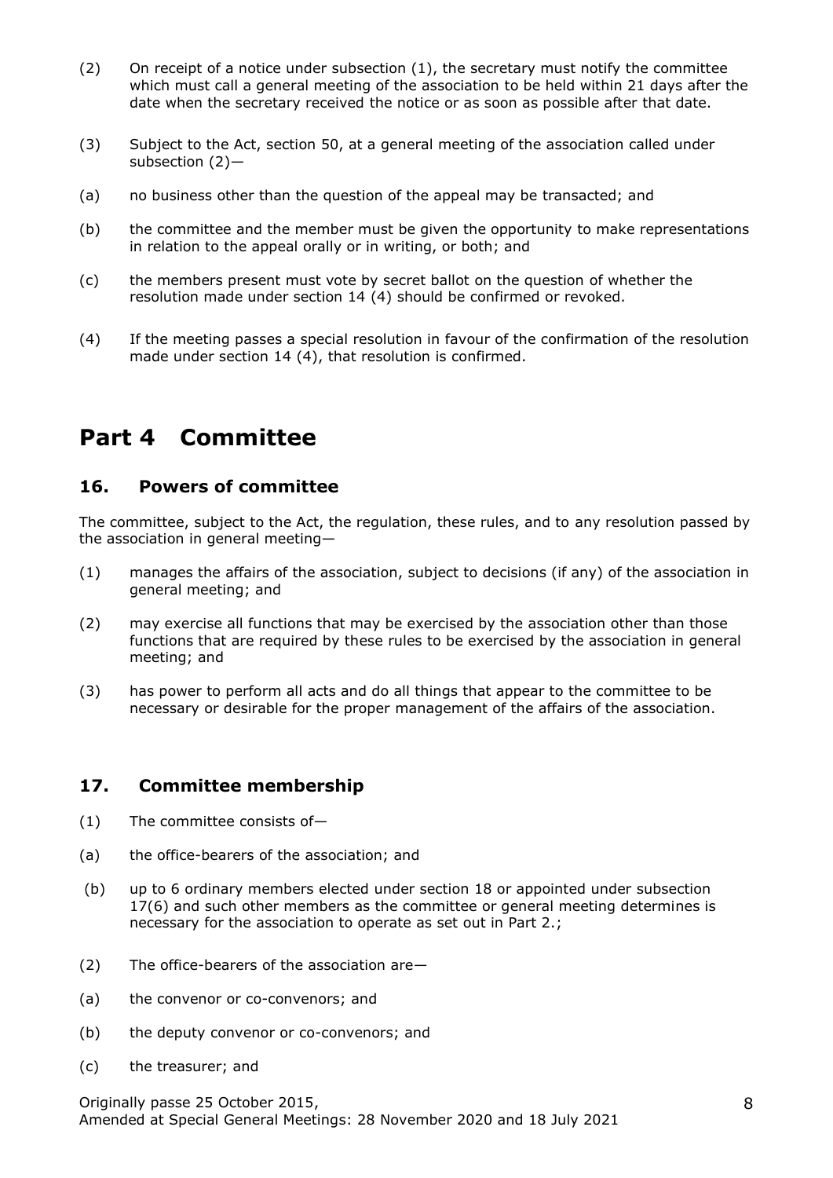- (2) On receipt of a notice under subsection  $(1)$ , the secretary must notify the committee which must call a general meeting of the association to be held within 21 days after the date when the secretary received the notice or as soon as possible after that date.
- (3) Subject to the Act, section 50, at a general meeting of the association called under subsection (2)—
- (a) no business other than the question of the appeal may be transacted; and
- (b) the committee and the member must be given the opportunity to make representations in relation to the appeal orally or in writing, or both; and
- (c) the members present must vote by secret ballot on the question of whether the resolution made under section 14 (4) should be confirmed or revoked.
- (4) If the meeting passes a special resolution in favour of the confirmation of the resolution made under section 14 (4), that resolution is confirmed.

# **Part 4 Committee**

#### **16. Powers of committee**

The committee, subject to the Act, the regulation, these rules, and to any resolution passed by the association in general meeting—

- (1) manages the affairs of the association, subject to decisions (if any) of the association in general meeting; and
- (2) may exercise all functions that may be exercised by the association other than those functions that are required by these rules to be exercised by the association in general meeting; and
- (3) has power to perform all acts and do all things that appear to the committee to be necessary or desirable for the proper management of the affairs of the association.

#### **17. Committee membership**

- (1) The committee consists of—
- (a) the office-bearers of the association; and
- (b) up to 6 ordinary members elected under section 18 or appointed under subsection 17(6) and such other members as the committee or general meeting determines is necessary for the association to operate as set out in Part 2.;
- (2) The office-bearers of the association are—
- (a) the convenor or co-convenors; and
- (b) the deputy convenor or co-convenors; and
- (c) the treasurer; and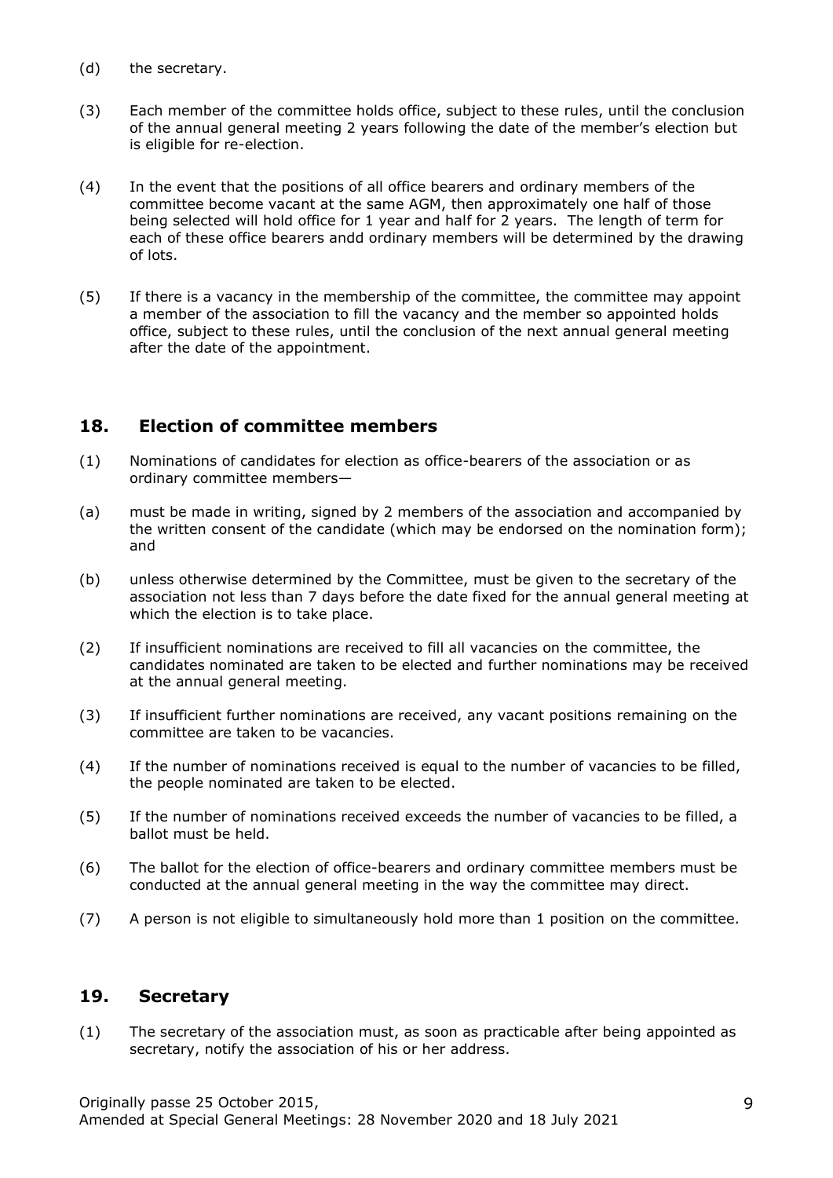- (d) the secretary.
- (3) Each member of the committee holds office, subject to these rules, until the conclusion of the annual general meeting 2 years following the date of the member's election but is eligible for re-election.
- (4) In the event that the positions of all office bearers and ordinary members of the committee become vacant at the same AGM, then approximately one half of those being selected will hold office for 1 year and half for 2 years. The length of term for each of these office bearers andd ordinary members will be determined by the drawing of lots.
- (5) If there is a vacancy in the membership of the committee, the committee may appoint a member of the association to fill the vacancy and the member so appointed holds office, subject to these rules, until the conclusion of the next annual general meeting after the date of the appointment.

# **18. Election of committee members**

- (1) Nominations of candidates for election as office-bearers of the association or as ordinary committee members—
- (a) must be made in writing, signed by 2 members of the association and accompanied by the written consent of the candidate (which may be endorsed on the nomination form); and
- (b) unless otherwise determined by the Committee, must be given to the secretary of the association not less than 7 days before the date fixed for the annual general meeting at which the election is to take place.
- (2) If insufficient nominations are received to fill all vacancies on the committee, the candidates nominated are taken to be elected and further nominations may be received at the annual general meeting.
- (3) If insufficient further nominations are received, any vacant positions remaining on the committee are taken to be vacancies.
- (4) If the number of nominations received is equal to the number of vacancies to be filled, the people nominated are taken to be elected.
- (5) If the number of nominations received exceeds the number of vacancies to be filled, a ballot must be held.
- (6) The ballot for the election of office-bearers and ordinary committee members must be conducted at the annual general meeting in the way the committee may direct.
- (7) A person is not eligible to simultaneously hold more than 1 position on the committee.

#### **19. Secretary**

(1) The secretary of the association must, as soon as practicable after being appointed as secretary, notify the association of his or her address.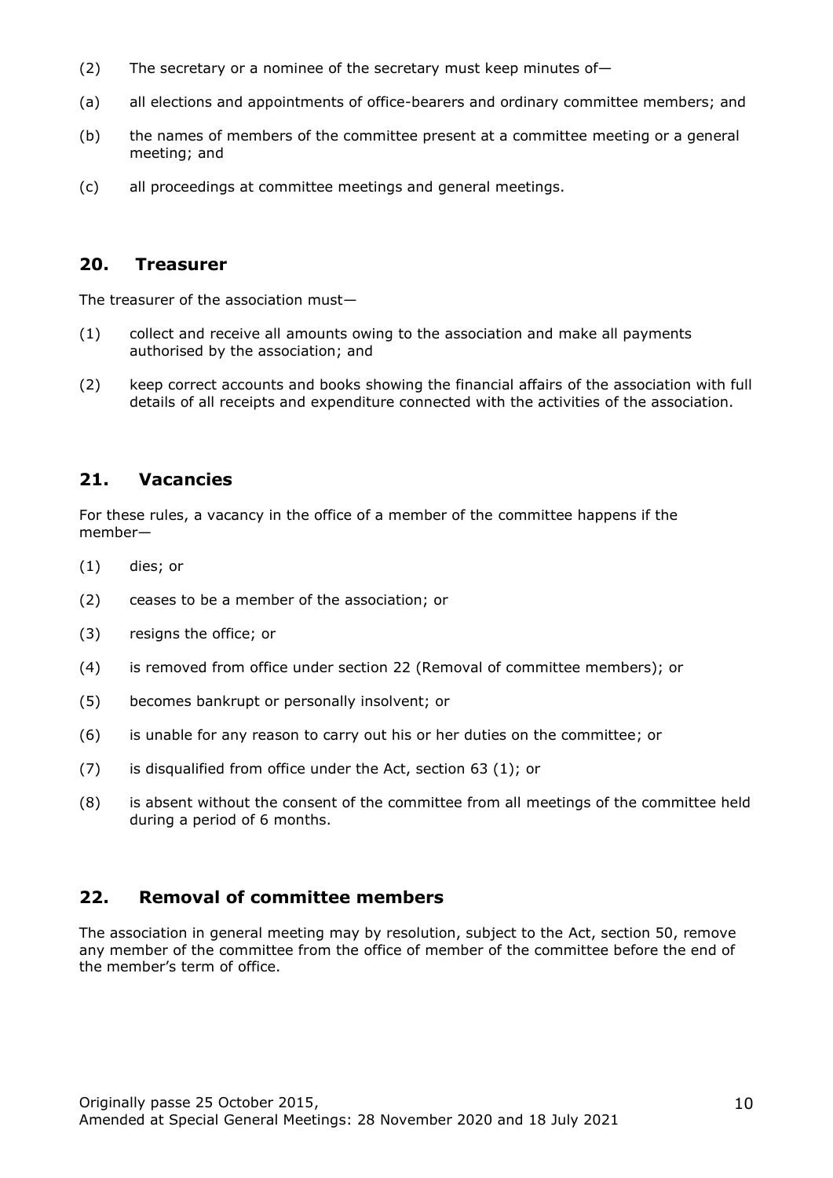- (2) The secretary or a nominee of the secretary must keep minutes of-
- (a) all elections and appointments of office-bearers and ordinary committee members; and
- (b) the names of members of the committee present at a committee meeting or a general meeting; and
- (c) all proceedings at committee meetings and general meetings.

#### **20. Treasurer**

The treasurer of the association must—

- (1) collect and receive all amounts owing to the association and make all payments authorised by the association; and
- (2) keep correct accounts and books showing the financial affairs of the association with full details of all receipts and expenditure connected with the activities of the association.

# **21. Vacancies**

For these rules, a vacancy in the office of a member of the committee happens if the member—

- (1) dies; or
- (2) ceases to be a member of the association; or
- (3) resigns the office; or
- (4) is removed from office under section 22 (Removal of committee members); or
- (5) becomes bankrupt or personally insolvent; or
- (6) is unable for any reason to carry out his or her duties on the committee; or
- (7) is disqualified from office under the Act, section 63 (1); or
- (8) is absent without the consent of the committee from all meetings of the committee held during a period of 6 months.

# **22. Removal of committee members**

The association in general meeting may by resolution, subject to the Act, section 50, remove any member of the committee from the office of member of the committee before the end of the member's term of office.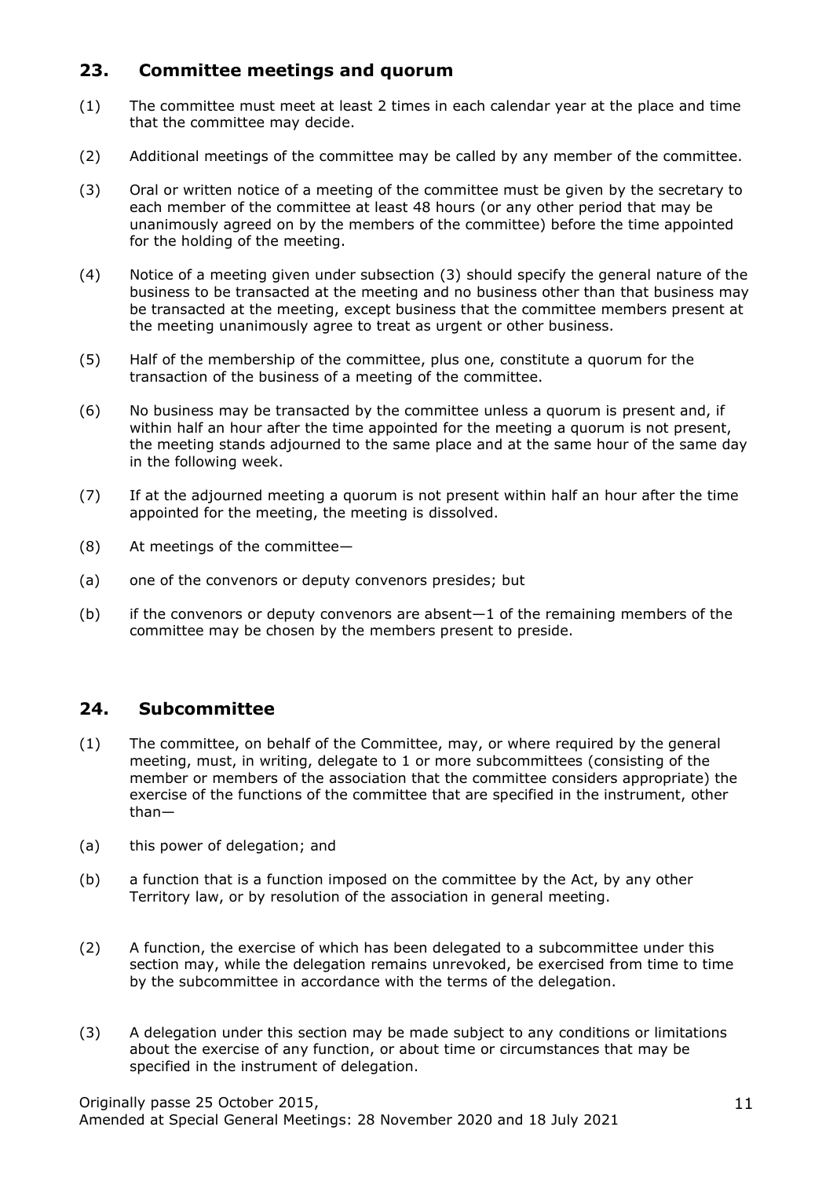# **23. Committee meetings and quorum**

- (1) The committee must meet at least 2 times in each calendar year at the place and time that the committee may decide.
- (2) Additional meetings of the committee may be called by any member of the committee.
- (3) Oral or written notice of a meeting of the committee must be given by the secretary to each member of the committee at least 48 hours (or any other period that may be unanimously agreed on by the members of the committee) before the time appointed for the holding of the meeting.
- (4) Notice of a meeting given under subsection (3) should specify the general nature of the business to be transacted at the meeting and no business other than that business may be transacted at the meeting, except business that the committee members present at the meeting unanimously agree to treat as urgent or other business.
- (5) Half of the membership of the committee, plus one, constitute a quorum for the transaction of the business of a meeting of the committee.
- (6) No business may be transacted by the committee unless a quorum is present and, if within half an hour after the time appointed for the meeting a quorum is not present, the meeting stands adjourned to the same place and at the same hour of the same day in the following week.
- (7) If at the adjourned meeting a quorum is not present within half an hour after the time appointed for the meeting, the meeting is dissolved.
- (8) At meetings of the committee—
- (a) one of the convenors or deputy convenors presides; but
- (b) if the convenors or deputy convenors are absent $-1$  of the remaining members of the committee may be chosen by the members present to preside.

# **24. Subcommittee**

- (1) The committee, on behalf of the Committee, may, or where required by the general meeting, must, in writing, delegate to 1 or more subcommittees (consisting of the member or members of the association that the committee considers appropriate) the exercise of the functions of the committee that are specified in the instrument, other than—
- (a) this power of delegation; and
- (b) a function that is a function imposed on the committee by the Act, by any other Territory law, or by resolution of the association in general meeting.
- (2) A function, the exercise of which has been delegated to a subcommittee under this section may, while the delegation remains unrevoked, be exercised from time to time by the subcommittee in accordance with the terms of the delegation.
- (3) A delegation under this section may be made subject to any conditions or limitations about the exercise of any function, or about time or circumstances that may be specified in the instrument of delegation.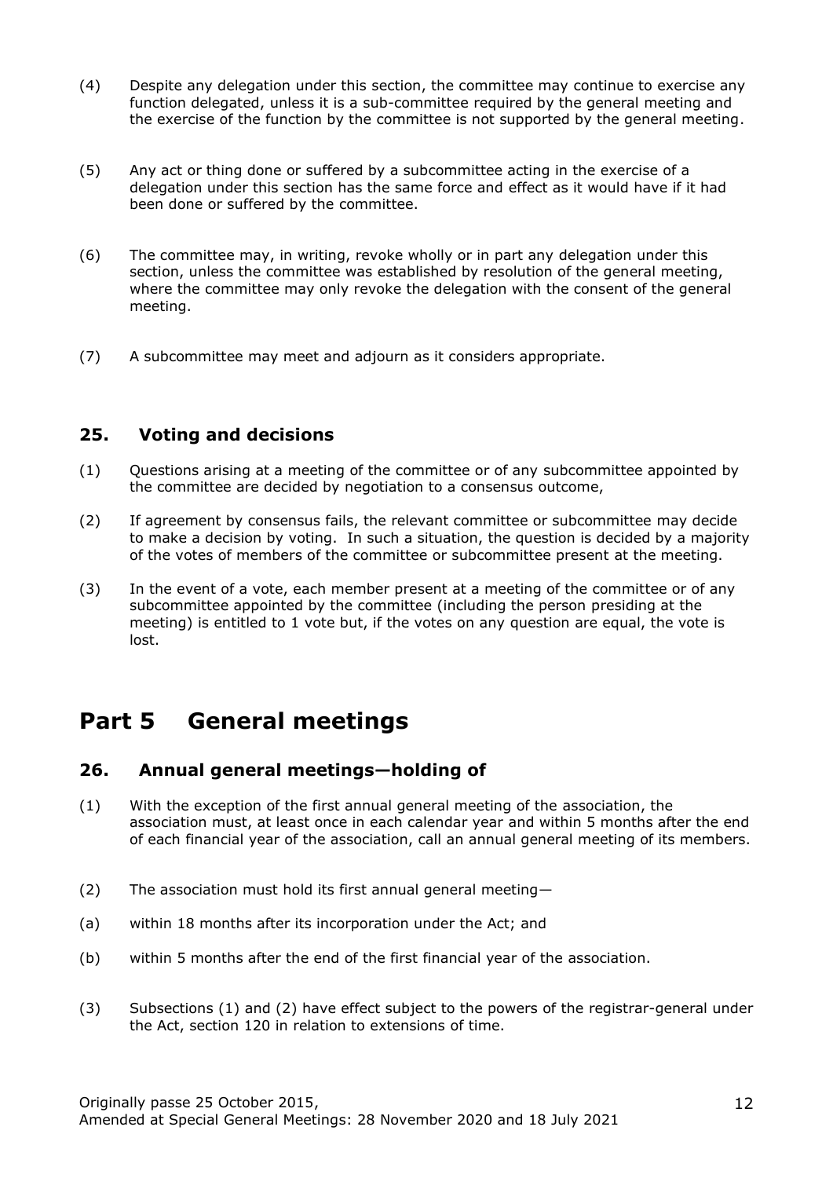- (4) Despite any delegation under this section, the committee may continue to exercise any function delegated, unless it is a sub-committee required by the general meeting and the exercise of the function by the committee is not supported by the general meeting.
- (5) Any act or thing done or suffered by a subcommittee acting in the exercise of a delegation under this section has the same force and effect as it would have if it had been done or suffered by the committee.
- (6) The committee may, in writing, revoke wholly or in part any delegation under this section, unless the committee was established by resolution of the general meeting, where the committee may only revoke the delegation with the consent of the general meeting.
- (7) A subcommittee may meet and adjourn as it considers appropriate.

#### **25. Voting and decisions**

- (1) Questions arising at a meeting of the committee or of any subcommittee appointed by the committee are decided by negotiation to a consensus outcome,
- (2) If agreement by consensus fails, the relevant committee or subcommittee may decide to make a decision by voting. In such a situation, the question is decided by a majority of the votes of members of the committee or subcommittee present at the meeting.
- (3) In the event of a vote, each member present at a meeting of the committee or of any subcommittee appointed by the committee (including the person presiding at the meeting) is entitled to 1 vote but, if the votes on any question are equal, the vote is lost.

# **Part 5 General meetings**

# **26. Annual general meetings—holding of**

- (1) With the exception of the first annual general meeting of the association, the association must, at least once in each calendar year and within 5 months after the end of each financial year of the association, call an annual general meeting of its members.
- (2) The association must hold its first annual general meeting—
- (a) within 18 months after its incorporation under the Act; and
- (b) within 5 months after the end of the first financial year of the association.
- (3) Subsections (1) and (2) have effect subject to the powers of the registrar-general under the Act, section 120 in relation to extensions of time.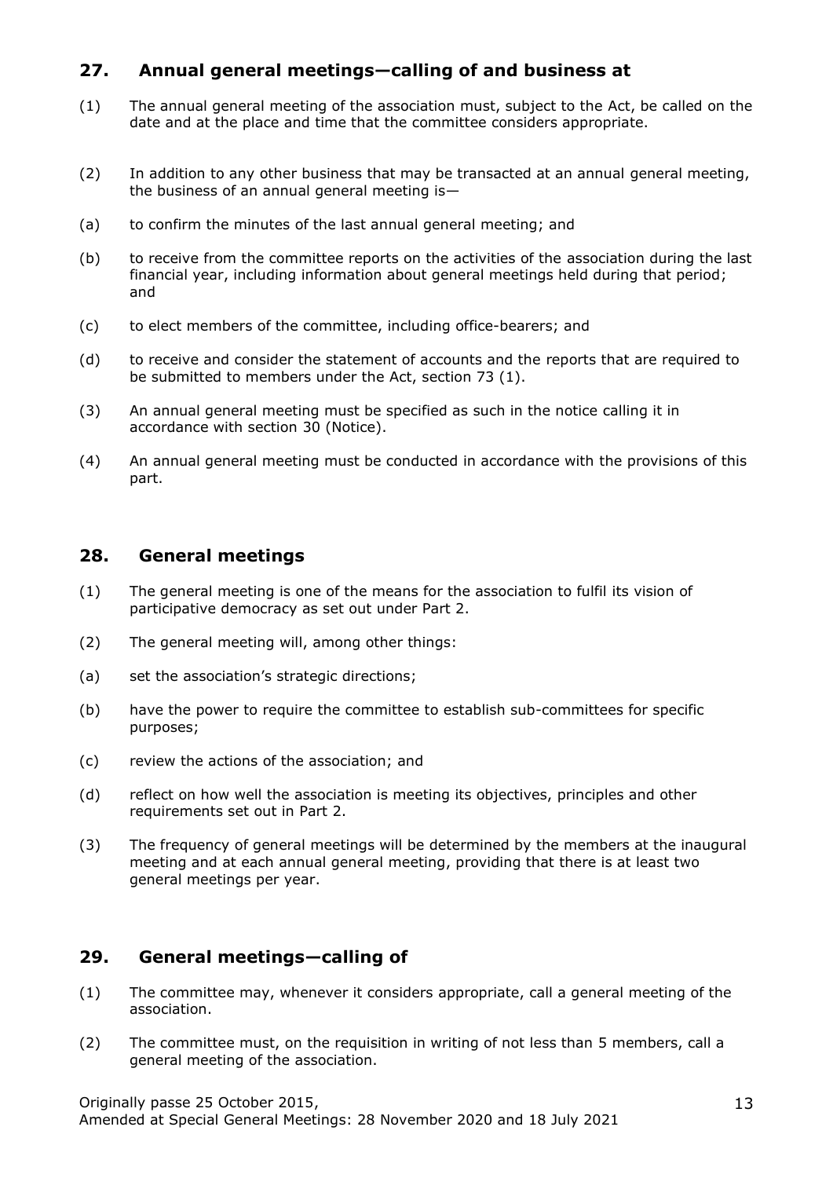# **27. Annual general meetings—calling of and business at**

- (1) The annual general meeting of the association must, subject to the Act, be called on the date and at the place and time that the committee considers appropriate.
- (2) In addition to any other business that may be transacted at an annual general meeting, the business of an annual general meeting is—
- (a) to confirm the minutes of the last annual general meeting; and
- (b) to receive from the committee reports on the activities of the association during the last financial year, including information about general meetings held during that period; and
- (c) to elect members of the committee, including office-bearers; and
- (d) to receive and consider the statement of accounts and the reports that are required to be submitted to members under the Act, section 73 (1).
- (3) An annual general meeting must be specified as such in the notice calling it in accordance with section 30 (Notice).
- (4) An annual general meeting must be conducted in accordance with the provisions of this part.

#### **28. General meetings**

- (1) The general meeting is one of the means for the association to fulfil its vision of participative democracy as set out under Part 2.
- (2) The general meeting will, among other things:
- (a) set the association's strategic directions;
- (b) have the power to require the committee to establish sub-committees for specific purposes;
- (c) review the actions of the association; and
- (d) reflect on how well the association is meeting its objectives, principles and other requirements set out in Part 2.
- (3) The frequency of general meetings will be determined by the members at the inaugural meeting and at each annual general meeting, providing that there is at least two general meetings per year.

#### **29. General meetings—calling of**

- (1) The committee may, whenever it considers appropriate, call a general meeting of the association.
- (2) The committee must, on the requisition in writing of not less than 5 members, call a general meeting of the association.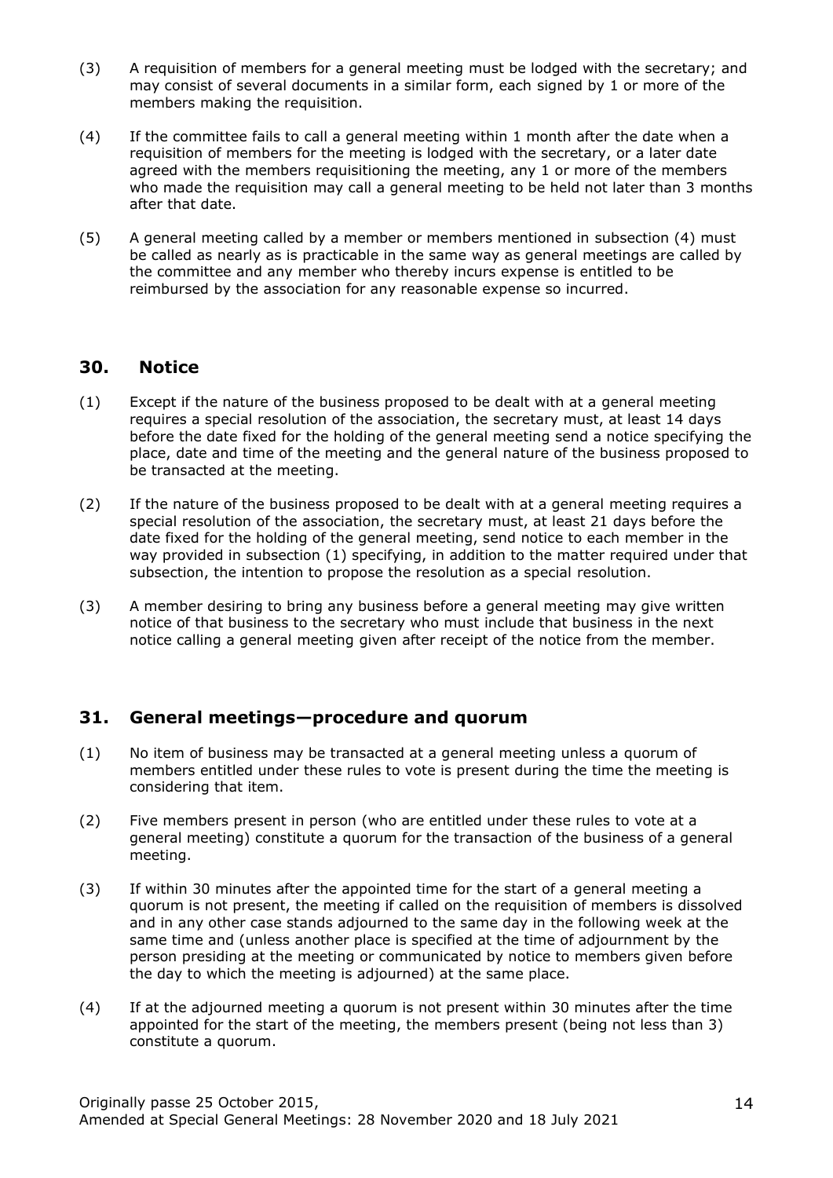- (3) A requisition of members for a general meeting must be lodged with the secretary; and may consist of several documents in a similar form, each signed by 1 or more of the members making the requisition.
- (4) If the committee fails to call a general meeting within 1 month after the date when a requisition of members for the meeting is lodged with the secretary, or a later date agreed with the members requisitioning the meeting, any 1 or more of the members who made the requisition may call a general meeting to be held not later than 3 months after that date.
- (5) A general meeting called by a member or members mentioned in subsection (4) must be called as nearly as is practicable in the same way as general meetings are called by the committee and any member who thereby incurs expense is entitled to be reimbursed by the association for any reasonable expense so incurred.

#### **30. Notice**

- (1) Except if the nature of the business proposed to be dealt with at a general meeting requires a special resolution of the association, the secretary must, at least 14 days before the date fixed for the holding of the general meeting send a notice specifying the place, date and time of the meeting and the general nature of the business proposed to be transacted at the meeting.
- (2) If the nature of the business proposed to be dealt with at a general meeting requires a special resolution of the association, the secretary must, at least 21 days before the date fixed for the holding of the general meeting, send notice to each member in the way provided in subsection (1) specifying, in addition to the matter required under that subsection, the intention to propose the resolution as a special resolution.
- (3) A member desiring to bring any business before a general meeting may give written notice of that business to the secretary who must include that business in the next notice calling a general meeting given after receipt of the notice from the member.

#### **31. General meetings—procedure and quorum**

- (1) No item of business may be transacted at a general meeting unless a quorum of members entitled under these rules to vote is present during the time the meeting is considering that item.
- (2) Five members present in person (who are entitled under these rules to vote at a general meeting) constitute a quorum for the transaction of the business of a general meeting.
- (3) If within 30 minutes after the appointed time for the start of a general meeting a quorum is not present, the meeting if called on the requisition of members is dissolved and in any other case stands adjourned to the same day in the following week at the same time and (unless another place is specified at the time of adjournment by the person presiding at the meeting or communicated by notice to members given before the day to which the meeting is adjourned) at the same place.
- (4) If at the adjourned meeting a quorum is not present within 30 minutes after the time appointed for the start of the meeting, the members present (being not less than 3) constitute a quorum.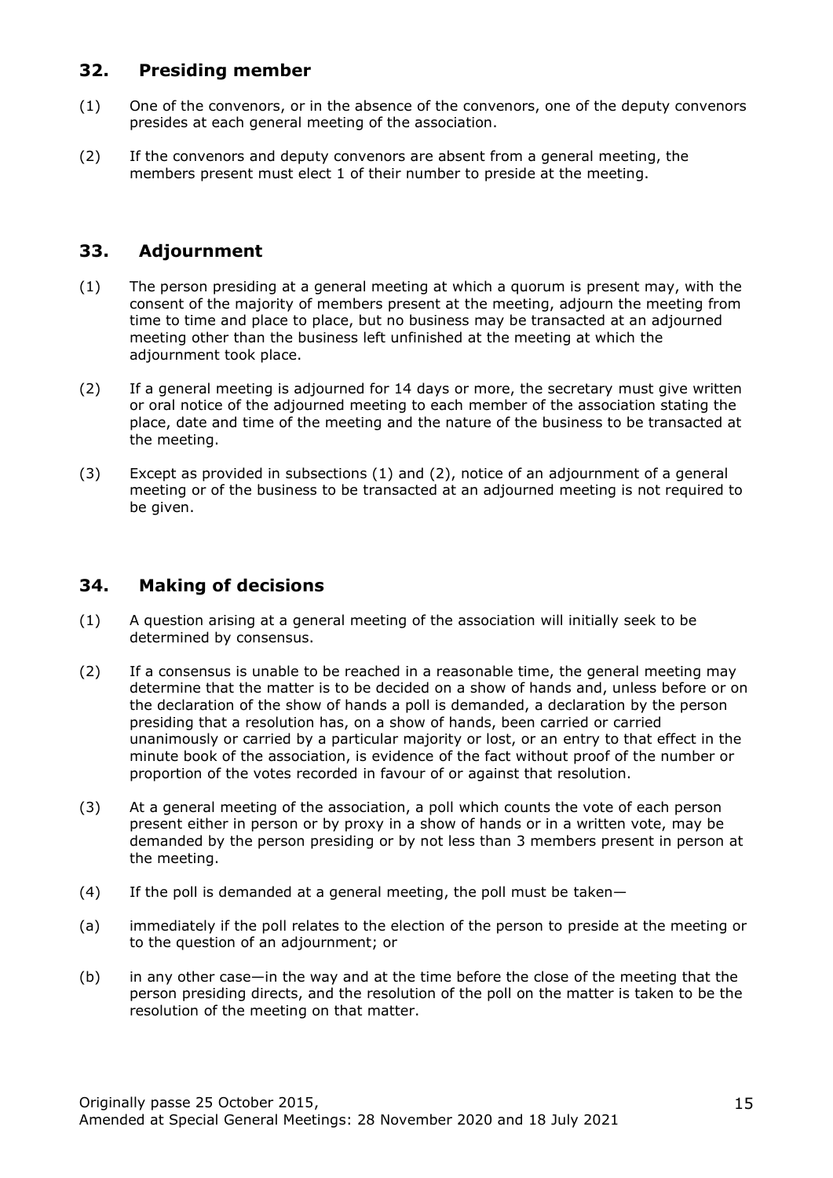#### **32. Presiding member**

- (1) One of the convenors, or in the absence of the convenors, one of the deputy convenors presides at each general meeting of the association.
- (2) If the convenors and deputy convenors are absent from a general meeting, the members present must elect 1 of their number to preside at the meeting.

### **33. Adjournment**

- (1) The person presiding at a general meeting at which a quorum is present may, with the consent of the majority of members present at the meeting, adjourn the meeting from time to time and place to place, but no business may be transacted at an adjourned meeting other than the business left unfinished at the meeting at which the adjournment took place.
- (2) If a general meeting is adjourned for 14 days or more, the secretary must give written or oral notice of the adjourned meeting to each member of the association stating the place, date and time of the meeting and the nature of the business to be transacted at the meeting.
- (3) Except as provided in subsections (1) and (2), notice of an adjournment of a general meeting or of the business to be transacted at an adjourned meeting is not required to be given.

# **34. Making of decisions**

- (1) A question arising at a general meeting of the association will initially seek to be determined by consensus.
- (2) If a consensus is unable to be reached in a reasonable time, the general meeting may determine that the matter is to be decided on a show of hands and, unless before or on the declaration of the show of hands a poll is demanded, a declaration by the person presiding that a resolution has, on a show of hands, been carried or carried unanimously or carried by a particular majority or lost, or an entry to that effect in the minute book of the association, is evidence of the fact without proof of the number or proportion of the votes recorded in favour of or against that resolution.
- (3) At a general meeting of the association, a poll which counts the vote of each person present either in person or by proxy in a show of hands or in a written vote, may be demanded by the person presiding or by not less than 3 members present in person at the meeting.
- (4) If the poll is demanded at a general meeting, the poll must be taken—
- (a) immediately if the poll relates to the election of the person to preside at the meeting or to the question of an adjournment; or
- (b) in any other case—in the way and at the time before the close of the meeting that the person presiding directs, and the resolution of the poll on the matter is taken to be the resolution of the meeting on that matter.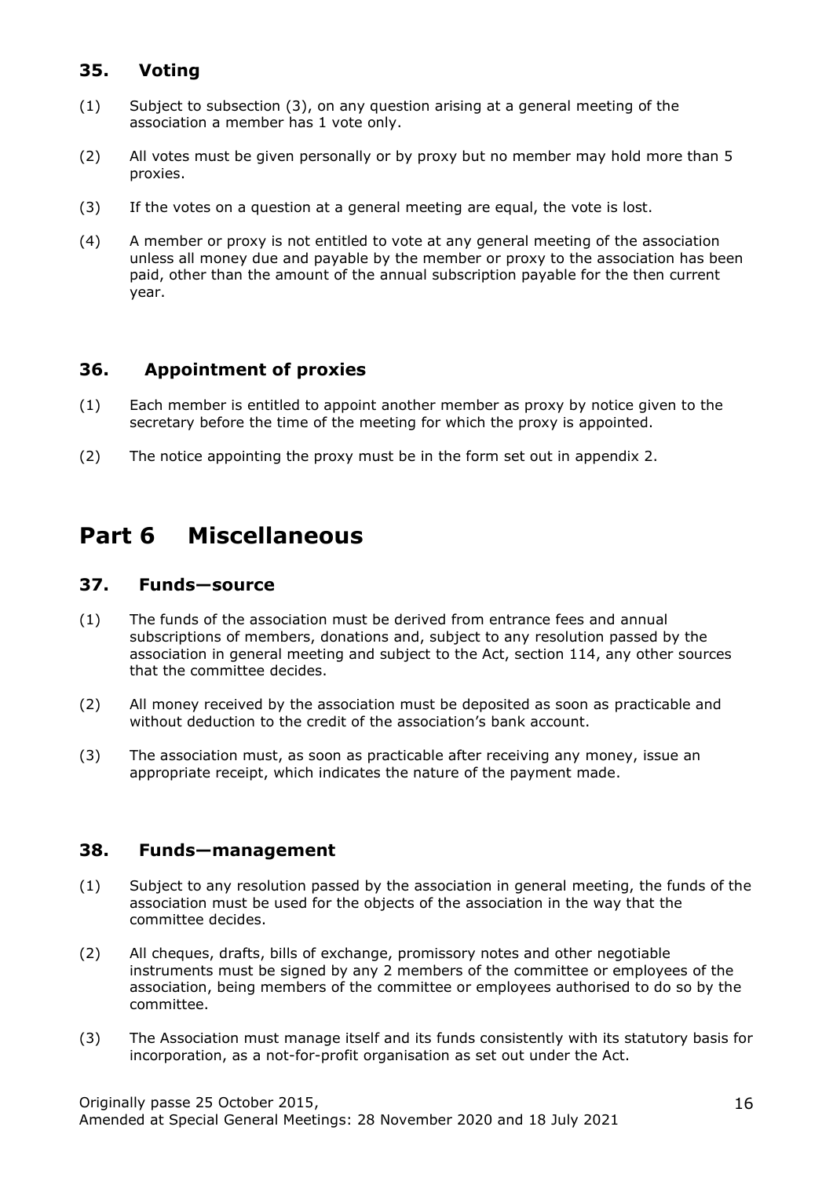# **35. Voting**

- (1) Subject to subsection (3), on any question arising at a general meeting of the association a member has 1 vote only.
- (2) All votes must be given personally or by proxy but no member may hold more than 5 proxies.
- (3) If the votes on a question at a general meeting are equal, the vote is lost.
- (4) A member or proxy is not entitled to vote at any general meeting of the association unless all money due and payable by the member or proxy to the association has been paid, other than the amount of the annual subscription payable for the then current year.

# **36. Appointment of proxies**

- (1) Each member is entitled to appoint another member as proxy by notice given to the secretary before the time of the meeting for which the proxy is appointed.
- (2) The notice appointing the proxy must be in the form set out in appendix 2.

# **Part 6 Miscellaneous**

#### **37. Funds—source**

- (1) The funds of the association must be derived from entrance fees and annual subscriptions of members, donations and, subject to any resolution passed by the association in general meeting and subject to the Act, section 114, any other sources that the committee decides.
- (2) All money received by the association must be deposited as soon as practicable and without deduction to the credit of the association's bank account.
- (3) The association must, as soon as practicable after receiving any money, issue an appropriate receipt, which indicates the nature of the payment made.

#### **38. Funds—management**

- (1) Subject to any resolution passed by the association in general meeting, the funds of the association must be used for the objects of the association in the way that the committee decides.
- (2) All cheques, drafts, bills of exchange, promissory notes and other negotiable instruments must be signed by any 2 members of the committee or employees of the association, being members of the committee or employees authorised to do so by the committee.
- (3) The Association must manage itself and its funds consistently with its statutory basis for incorporation, as a not-for-profit organisation as set out under the Act.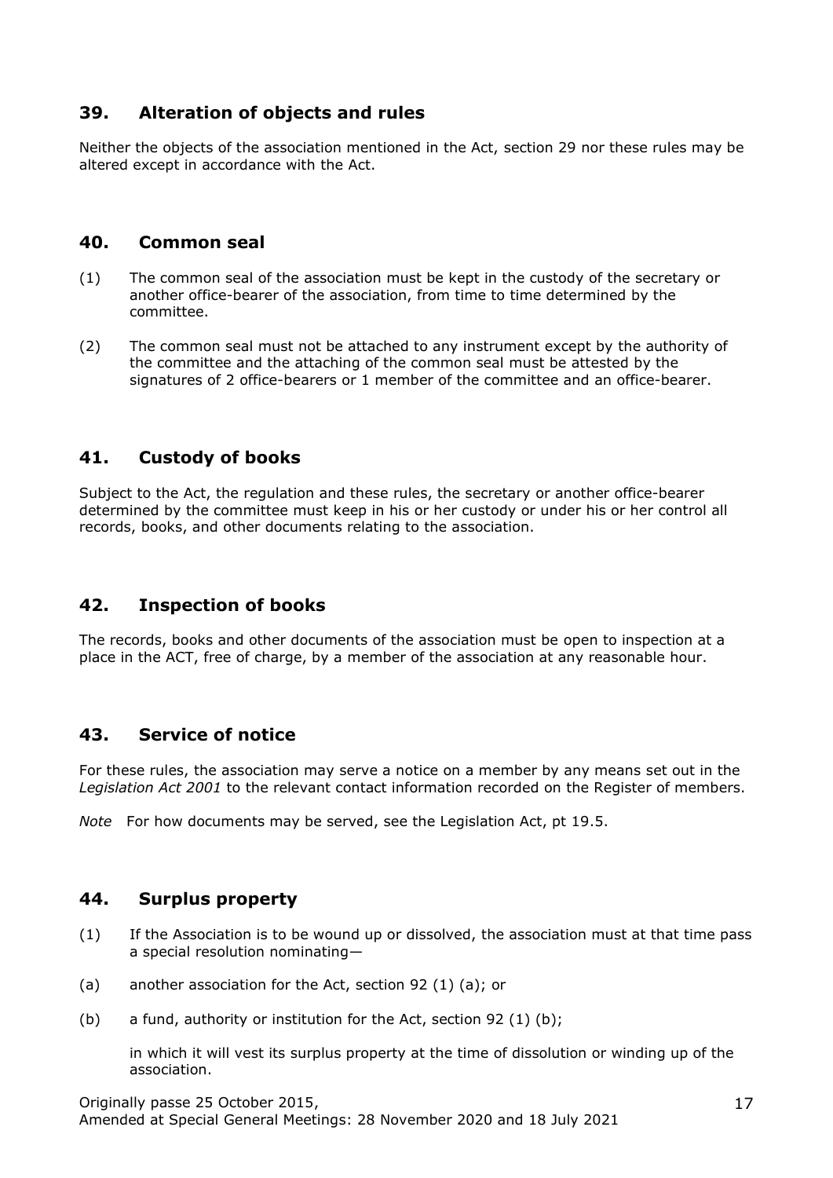# **39. Alteration of objects and rules**

Neither the objects of the association mentioned in the Act, section 29 nor these rules may be altered except in accordance with the Act.

#### **40. Common seal**

- (1) The common seal of the association must be kept in the custody of the secretary or another office-bearer of the association, from time to time determined by the committee.
- (2) The common seal must not be attached to any instrument except by the authority of the committee and the attaching of the common seal must be attested by the signatures of 2 office-bearers or 1 member of the committee and an office-bearer.

# **41. Custody of books**

Subject to the Act, the regulation and these rules, the secretary or another office-bearer determined by the committee must keep in his or her custody or under his or her control all records, books, and other documents relating to the association.

# **42. Inspection of books**

The records, books and other documents of the association must be open to inspection at a place in the ACT, free of charge, by a member of the association at any reasonable hour.

#### **43. Service of notice**

For these rules, the association may serve a notice on a member by any means set out in the *Legislation Act 2001* to the relevant contact information recorded on the Register of members.

*Note* For how documents may be served, see the Legislation Act, pt 19.5.

#### **44. Surplus property**

- (1) If the Association is to be wound up or dissolved, the association must at that time pass a special resolution nominating—
- (a) another association for the Act, section 92 (1) (a); or
- (b) a fund, authority or institution for the Act, section 92 (1) (b);

in which it will vest its surplus property at the time of dissolution or winding up of the association.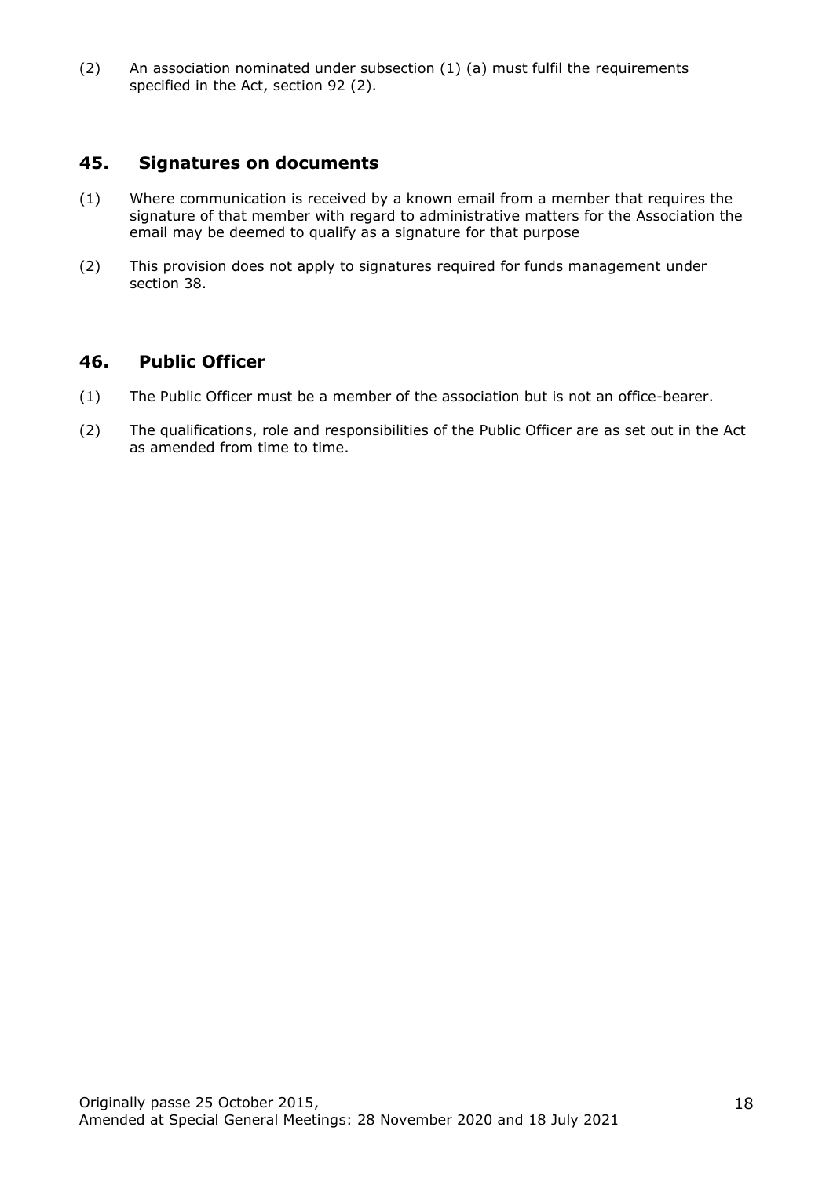(2) An association nominated under subsection (1) (a) must fulfil the requirements specified in the Act, section 92 (2).

#### **45. Signatures on documents**

- (1) Where communication is received by a known email from a member that requires the signature of that member with regard to administrative matters for the Association the email may be deemed to qualify as a signature for that purpose
- (2) This provision does not apply to signatures required for funds management under section 38.

#### **46. Public Officer**

- (1) The Public Officer must be a member of the association but is not an office-bearer.
- (2) The qualifications, role and responsibilities of the Public Officer are as set out in the Act as amended from time to time.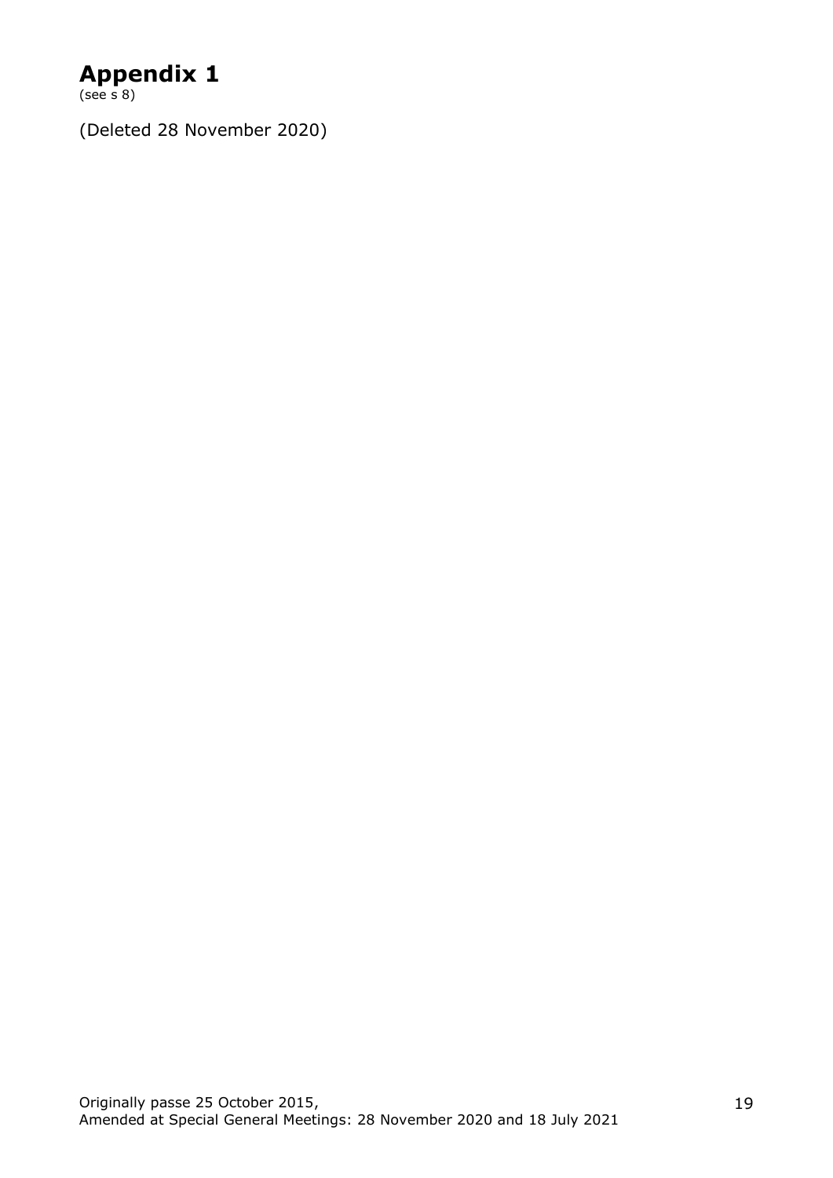# **Appendix 1**

(see s 8)

(Deleted 28 November 2020)